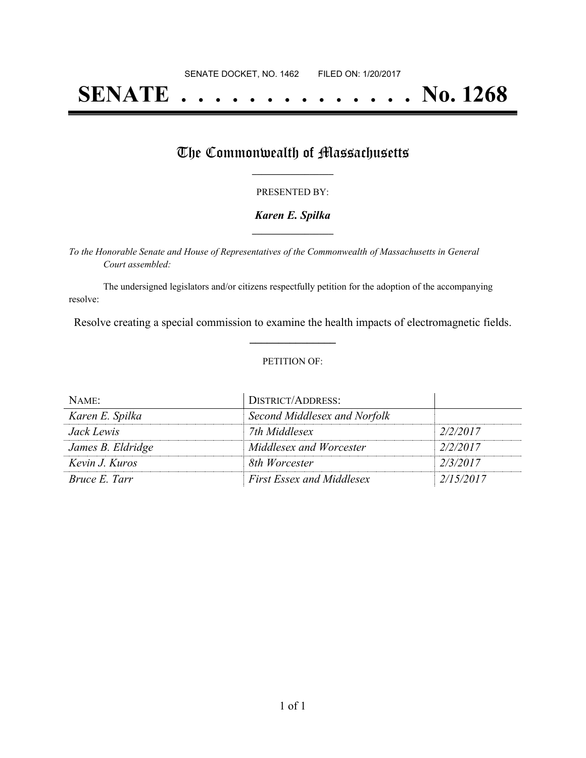# **SENATE . . . . . . . . . . . . . . No. 1268**

## The Commonwealth of Massachusetts

#### PRESENTED BY:

#### *Karen E. Spilka* **\_\_\_\_\_\_\_\_\_\_\_\_\_\_\_\_\_**

*To the Honorable Senate and House of Representatives of the Commonwealth of Massachusetts in General Court assembled:*

The undersigned legislators and/or citizens respectfully petition for the adoption of the accompanying resolve:

Resolve creating a special commission to examine the health impacts of electromagnetic fields. **\_\_\_\_\_\_\_\_\_\_\_\_\_\_\_**

#### PETITION OF:

| NAME:             | <b>DISTRICT/ADDRESS:</b>         |           |
|-------------------|----------------------------------|-----------|
| Karen E. Spilka   | Second Middlesex and Norfolk     |           |
| <i>Jack Lewis</i> | 7th Middlesex                    | 2/2/2017  |
| James B. Eldridge | Middlesex and Worcester          | 2/2/2017  |
| Kevin J. Kuros    | 8th Worcester                    | 2/3/2017  |
| Bruce E. Tarr     | <b>First Essex and Middlesex</b> | 2/15/2017 |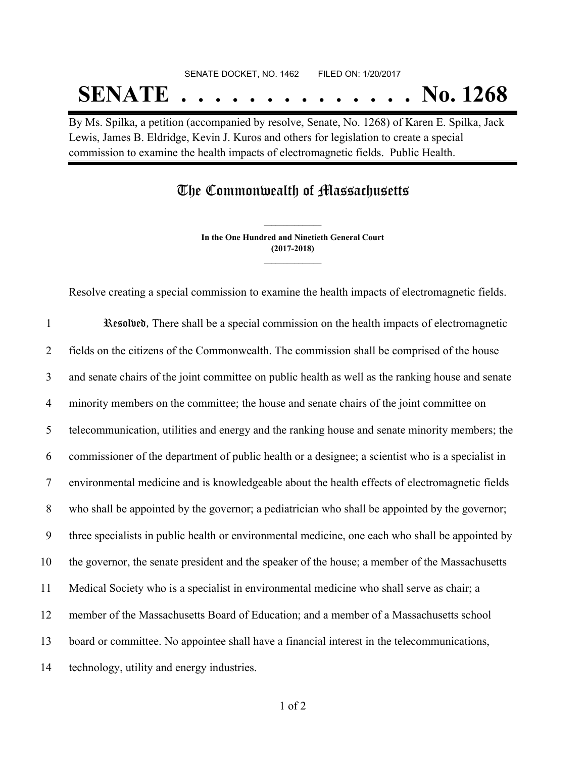# SENATE DOCKET, NO. 1462 FILED ON: 1/20/2017 **SENATE . . . . . . . . . . . . . . No. 1268**

By Ms. Spilka, a petition (accompanied by resolve, Senate, No. 1268) of Karen E. Spilka, Jack Lewis, James B. Eldridge, Kevin J. Kuros and others for legislation to create a special commission to examine the health impacts of electromagnetic fields. Public Health.

### The Commonwealth of Massachusetts

**In the One Hundred and Ninetieth General Court (2017-2018) \_\_\_\_\_\_\_\_\_\_\_\_\_\_\_**

**\_\_\_\_\_\_\_\_\_\_\_\_\_\_\_**

Resolve creating a special commission to examine the health impacts of electromagnetic fields.

 Resolved, There shall be a special commission on the health impacts of electromagnetic fields on the citizens of the Commonwealth. The commission shall be comprised of the house and senate chairs of the joint committee on public health as well as the ranking house and senate minority members on the committee; the house and senate chairs of the joint committee on telecommunication, utilities and energy and the ranking house and senate minority members; the commissioner of the department of public health or a designee; a scientist who is a specialist in environmental medicine and is knowledgeable about the health effects of electromagnetic fields who shall be appointed by the governor; a pediatrician who shall be appointed by the governor; three specialists in public health or environmental medicine, one each who shall be appointed by the governor, the senate president and the speaker of the house; a member of the Massachusetts Medical Society who is a specialist in environmental medicine who shall serve as chair; a member of the Massachusetts Board of Education; and a member of a Massachusetts school board or committee. No appointee shall have a financial interest in the telecommunications, technology, utility and energy industries.